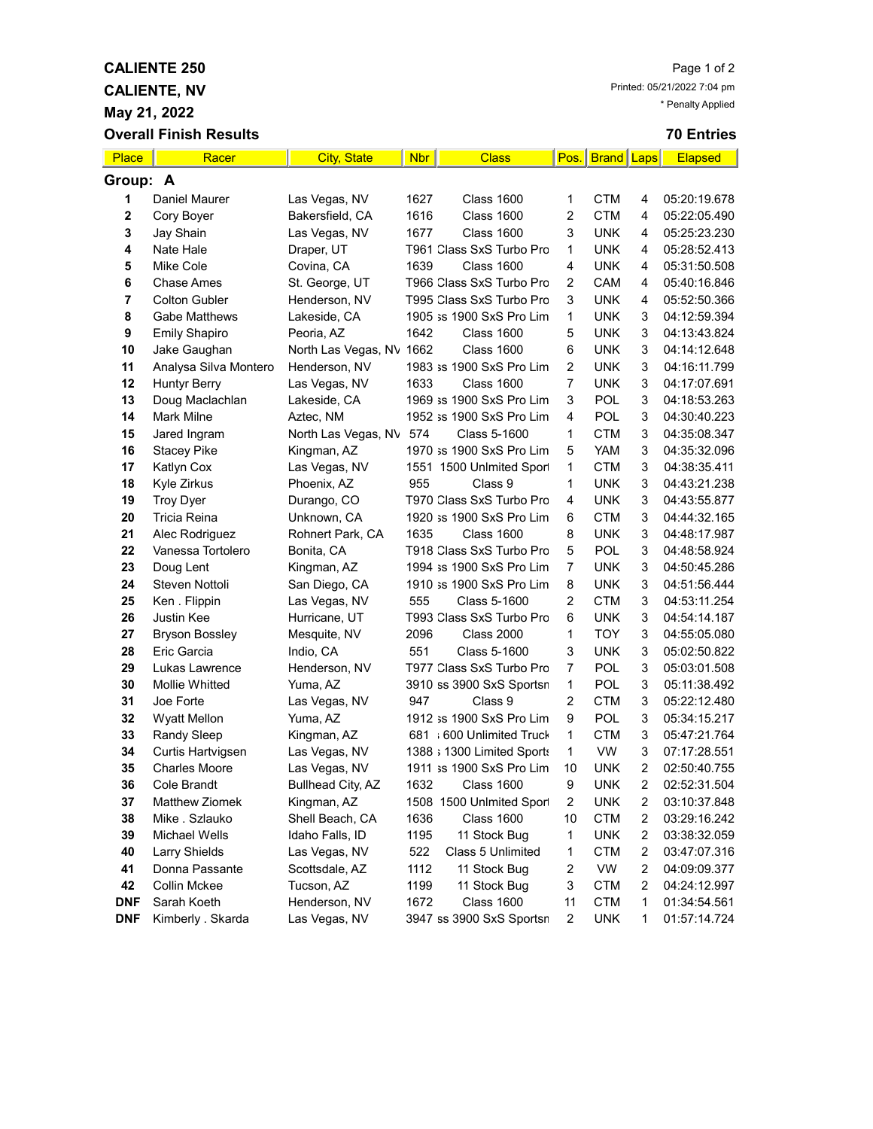**CALIENTE, NV**

**May 21, 2022**

## **70 Entries**

| Place                   | Racer                 | <b>City, State</b>             | <b>Nbr</b> | <b>Class</b>               |                | Pos.   Brand   Laps |                | <b>Elapsed</b> |
|-------------------------|-----------------------|--------------------------------|------------|----------------------------|----------------|---------------------|----------------|----------------|
| Group: A                |                       |                                |            |                            |                |                     |                |                |
| 1                       | Daniel Maurer         | Las Vegas, NV                  | 1627       | <b>Class 1600</b>          | 1              | CTM                 | 4              | 05:20:19.678   |
| $\bf{2}$                | Cory Boyer            | Bakersfield, CA                | 1616       | <b>Class 1600</b>          | $\overline{2}$ | <b>CTM</b>          | 4              | 05:22:05.490   |
| 3                       | Jay Shain             | Las Vegas, NV                  | 1677       | <b>Class 1600</b>          | 3              | <b>UNK</b>          | 4              | 05:25:23.230   |
| $\overline{\mathbf{4}}$ | Nate Hale             | Draper, UT                     |            | T961 Class SxS Turbo Pro   | 1              | <b>UNK</b>          | 4              | 05:28:52.413   |
| 5                       | Mike Cole             | Covina, CA                     | 1639       | <b>Class 1600</b>          | 4              | <b>UNK</b>          | 4              | 05:31:50.508   |
| 6                       | <b>Chase Ames</b>     | St. George, UT                 |            | T966 Class SxS Turbo Pro   | 2              | CAM                 | 4              | 05:40:16.846   |
| $\overline{7}$          | <b>Colton Gubler</b>  | Henderson, NV                  |            | T995 Class SxS Turbo Pro   | 3              | <b>UNK</b>          | 4              | 05:52:50.366   |
| 8                       | <b>Gabe Matthews</b>  | Lakeside, CA                   |            | 1905 ss 1900 SxS Pro Lim   | $\mathbf{1}$   | <b>UNK</b>          | 3              | 04:12:59.394   |
| 9                       | <b>Emily Shapiro</b>  | Peoria, AZ                     | 1642       | <b>Class 1600</b>          | 5              | <b>UNK</b>          | 3              | 04:13:43.824   |
| 10                      | Jake Gaughan          | North Las Vegas, NV 1662       |            | <b>Class 1600</b>          | 6              | <b>UNK</b>          | 3              | 04:14:12.648   |
| 11                      | Analysa Silva Montero | Henderson, NV                  |            | 1983 ss 1900 SxS Pro Lim   | $\overline{2}$ | <b>UNK</b>          | 3              | 04:16:11.799   |
| 12                      | <b>Huntyr Berry</b>   | Las Vegas, NV                  | 1633       | <b>Class 1600</b>          | $\overline{7}$ | <b>UNK</b>          | 3              | 04:17:07.691   |
| 13                      | Doug Maclachlan       | Lakeside, CA                   |            | 1969 ss 1900 SxS Pro Lim   | 3              | <b>POL</b>          | 3              | 04:18:53.263   |
| 14                      | Mark Milne            | Aztec, NM                      |            | 1952 ss 1900 SxS Pro Lim   | 4              | POL                 | 3              | 04:30:40.223   |
| 15                      | Jared Ingram          | North Las Vegas, NV            | 574        | Class 5-1600               | 1              | <b>CTM</b>          | 3              | 04:35:08.347   |
| 16                      | <b>Stacey Pike</b>    | Kingman, AZ                    |            | 1970 ss 1900 SxS Pro Lim   | 5              | YAM                 | 3              | 04:35:32.096   |
| 17                      | Katlyn Cox            | Las Vegas, NV                  |            | 1551 1500 Unlmited Sport   | 1              | <b>CTM</b>          | 3              | 04:38:35.411   |
| 18                      | Kyle Zirkus           | Phoenix, AZ                    | 955        | Class 9                    | 1              | <b>UNK</b>          | 3              | 04:43:21.238   |
| 19                      | <b>Troy Dyer</b>      | Durango, CO                    |            | T970 Class SxS Turbo Pro   | 4              | <b>UNK</b>          | 3              | 04:43:55.877   |
| 20                      | Tricia Reina          | Unknown, CA                    |            | 1920 ss 1900 SxS Pro Lim   | 6              | <b>CTM</b>          | 3              | 04:44:32.165   |
| 21                      | Alec Rodriguez        | Rohnert Park, CA               | 1635       | <b>Class 1600</b>          | 8              | <b>UNK</b>          | 3              | 04:48:17.987   |
| 22                      | Vanessa Tortolero     | Bonita, CA                     |            | T918 Class SxS Turbo Pro   | 5              | <b>POL</b>          | 3              | 04:48:58.924   |
| 23                      | Doug Lent             | Kingman, AZ                    |            | 1994 ss 1900 SxS Pro Lim   | 7              | <b>UNK</b>          | 3              | 04:50:45.286   |
| 24                      | Steven Nottoli        | San Diego, CA                  |            | 1910 ss 1900 SxS Pro Lim   | 8              | <b>UNK</b>          | 3              | 04:51:56.444   |
| 25                      | Ken. Flippin          | Las Vegas, NV                  | 555        | Class 5-1600               | 2              | <b>CTM</b>          | 3              | 04:53:11.254   |
| 26                      | Justin Kee            | Hurricane, UT                  |            | T993 Class SxS Turbo Pro   | 6              | <b>UNK</b>          | 3              | 04:54:14.187   |
| 27                      | <b>Bryson Bossley</b> | Mesquite, NV                   | 2096       | <b>Class 2000</b>          | 1              | <b>TOY</b>          | 3              | 04:55:05.080   |
| 28                      | Eric Garcia           | Indio, CA                      | 551        | Class 5-1600               | 3              | <b>UNK</b>          | 3              | 05:02:50.822   |
| 29                      | Lukas Lawrence        | Henderson, NV                  |            | T977 Class SxS Turbo Pro   | 7              | POL                 | 3              | 05:03:01.508   |
| 30                      | <b>Mollie Whitted</b> | Yuma, AZ                       |            | 3910 ss 3900 SxS Sportsn   | $\mathbf{1}$   | POL                 | 3              | 05:11:38.492   |
| 31                      | Joe Forte             | Las Vegas, NV                  | 947        | Class 9                    | $\overline{2}$ | <b>CTM</b>          | 3              | 05:22:12.480   |
| 32                      | <b>Wyatt Mellon</b>   | Yuma, AZ                       |            | 1912 ss 1900 SxS Pro Lim   | 9              | POL                 | 3              | 05:34:15.217   |
| 33                      | Randy Sleep           | Kingman, AZ                    |            | 681 ; 600 Unlimited Truck  | $\mathbf{1}$   | <b>CTM</b>          | 3              | 05:47:21.764   |
| 34                      | Curtis Hartvigsen     | Las Vegas, NV                  |            | 1388 ; 1300 Limited Sports | $\mathbf{1}$   | <b>VW</b>           | 3              | 07:17:28.551   |
| 35                      | <b>Charles Moore</b>  | Las Vegas, NV                  |            | 1911 ss 1900 SxS Pro Lim   | 10             | <b>UNK</b>          | $\overline{2}$ | 02:50:40.755   |
| 36                      | Cole Brandt           | <b>Bullhead City, AZ</b>       | 1632       | Class 1600                 | 9              | <b>UNK</b>          | $\overline{c}$ | 02:52:31.504   |
| 37                      | <b>Matthew Ziomek</b> | Kingman, AZ                    |            | 1508 1500 Unlmited Sport   | 2              | <b>UNK</b>          | 2              | 03:10:37.848   |
| 38                      | Mike . Szlauko        | Shell Beach, CA                | 1636       | <b>Class 1600</b>          | 10             | <b>CTM</b>          | 2              | 03:29:16.242   |
| 39                      | Michael Wells         | Idaho Falls, ID                | 1195       | 11 Stock Bug               | 1              | <b>UNK</b>          | 2              | 03:38:32.059   |
| 40                      | <b>Larry Shields</b>  | Las Vegas, NV                  | 522        | Class 5 Unlimited          | 1              | <b>CTM</b>          | 2              | 03:47:07.316   |
| 41                      | Donna Passante        | Scottsdale, AZ                 | 1112       | 11 Stock Bug               | 2              | VW                  | 2              | 04:09:09.377   |
| 42                      | Collin Mckee          | Tucson, AZ                     | 1199       | 11 Stock Bug               | 3              | <b>CTM</b>          | 2              | 04:24:12.997   |
| <b>DNF</b>              | Sarah Koeth           | Henderson, NV<br>Las Vegas, NV | 1672       | Class 1600                 | 11             | <b>CTM</b>          | 1              | 01:34:54.561   |
| <b>DNF</b>              | Kimberly . Skarda     |                                |            | 3947 ss 3900 SxS Sportsn   | 2              | <b>UNK</b>          | 1              | 01:57:14.724   |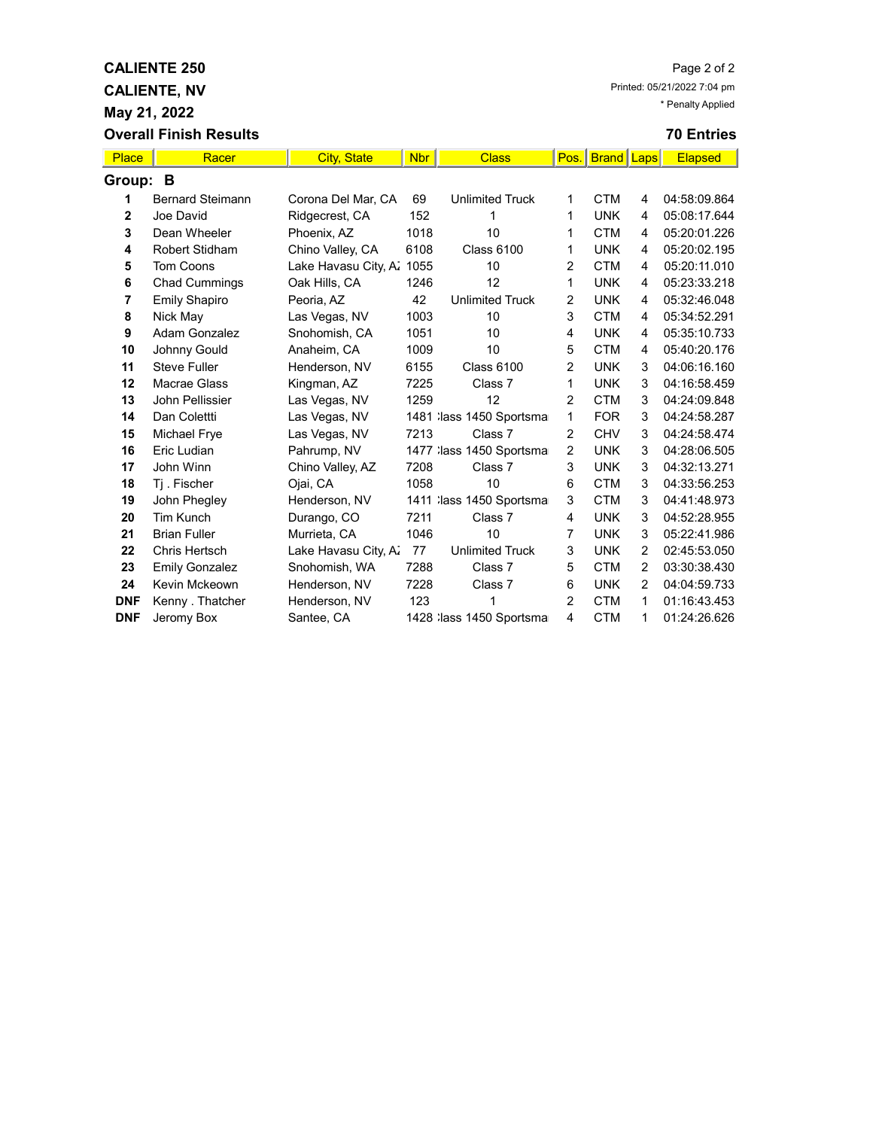**CALIENTE, NV**

**May 21, 2022**

|              | <b>Overall Finish Results</b> |                      |            |                           |                |                   |   | <b>70 Entries</b> |
|--------------|-------------------------------|----------------------|------------|---------------------------|----------------|-------------------|---|-------------------|
| Place        | Racer                         | <b>City, State</b>   | <b>Nbr</b> | <b>Class</b>              | Pos.           | <b>Brand Laps</b> |   | <b>Elapsed</b>    |
| Group:       | B                             |                      |            |                           |                |                   |   |                   |
| 1            | <b>Bernard Steimann</b>       | Corona Del Mar, CA   | 69         | <b>Unlimited Truck</b>    | 1.             | <b>CTM</b>        | 4 | 04:58:09.864      |
| $\mathbf{2}$ | Joe David                     | Ridgecrest, CA       | 152        | 1                         | 1              | <b>UNK</b>        | 4 | 05:08:17.644      |
| 3            | Dean Wheeler                  | Phoenix, AZ          | 1018       | 10                        | 1              | <b>CTM</b>        | 4 | 05:20:01.226      |
| 4            | <b>Robert Stidham</b>         | Chino Valley, CA     | 6108       | <b>Class 6100</b>         | 1              | <b>UNK</b>        | 4 | 05:20:02.195      |
| 5            | <b>Tom Coons</b>              | Lake Havasu City, A. | 1055       | 10                        | 2              | <b>CTM</b>        | 4 | 05:20:11.010      |
| 6            | <b>Chad Cummings</b>          | Oak Hills, CA        | 1246       | 12                        | 1              | <b>UNK</b>        | 4 | 05:23:33.218      |
| 7            | <b>Emily Shapiro</b>          | Peoria, AZ           | 42         | <b>Unlimited Truck</b>    | $\overline{2}$ | <b>UNK</b>        | 4 | 05:32:46.048      |
| 8            | Nick May                      | Las Vegas, NV        | 1003       | 10                        | 3              | <b>CTM</b>        | 4 | 05:34:52.291      |
| 9            | Adam Gonzalez                 | Snohomish, CA        | 1051       | 10                        | 4              | <b>UNK</b>        | 4 | 05:35:10.733      |
| 10           | Johnny Gould                  | Anaheim, CA          | 1009       | 10                        | 5              | <b>CTM</b>        | 4 | 05:40:20.176      |
| 11           | <b>Steve Fuller</b>           | Henderson, NV        | 6155       | <b>Class 6100</b>         | 2              | <b>UNK</b>        | 3 | 04:06:16.160      |
| 12           | Macrae Glass                  | Kingman, AZ          | 7225       | Class 7                   | 1              | <b>UNK</b>        | 3 | 04:16:58.459      |
| 13           | John Pellissier               | Las Vegas, NV        | 1259       | 12                        | $\overline{2}$ | <b>CTM</b>        | 3 | 04:24:09.848      |
| 14           | Dan Colettti                  | Las Vegas, NV        |            | 1481 lass 1450 Sportsma   | 1              | <b>FOR</b>        | 3 | 04:24:58.287      |
| 15           | Michael Frye                  | Las Vegas, NV        | 7213       | Class 7                   | $\overline{2}$ | <b>CHV</b>        | 3 | 04:24:58.474      |
| 16           | Eric Ludian                   | Pahrump, NV          |            | 1477 : lass 1450 Sportsma | $\overline{2}$ | <b>UNK</b>        | 3 | 04:28:06.505      |
| 17           | John Winn                     | Chino Valley, AZ     | 7208       | Class 7                   | 3              | <b>UNK</b>        | 3 | 04:32:13.271      |
| 18           | Tj. Fischer                   | Ojai, CA             | 1058       | 10                        | 6              | <b>CTM</b>        | 3 | 04:33:56.253      |
| 19           | John Phegley                  | Henderson, NV        |            | 1411 lass 1450 Sportsma   | 3              | <b>CTM</b>        | 3 | 04:41:48.973      |
| 20           | <b>Tim Kunch</b>              | Durango, CO          | 7211       | Class 7                   | 4              | <b>UNK</b>        | 3 | 04:52:28.955      |
| 21           | <b>Brian Fuller</b>           | Murrieta, CA         | 1046       | 10                        | 7              | <b>UNK</b>        | 3 | 05:22:41.986      |
| 22           | Chris Hertsch                 | Lake Havasu City, A. | 77         | <b>Unlimited Truck</b>    | 3              | <b>UNK</b>        | 2 | 02:45:53.050      |
| 23           | <b>Emily Gonzalez</b>         | Snohomish, WA        | 7288       | Class 7                   | 5              | <b>CTM</b>        | 2 | 03:30:38.430      |
| 24           | Kevin Mckeown                 | Henderson, NV        | 7228       | Class 7                   | 6              | <b>UNK</b>        | 2 | 04:04:59.733      |

**DNF** Kenny Thatcher Henderson, NV 123 1 2 CTM 1 01:16:43.453 **DNF** Jeromy Box Santee, CA 1428 lass 1450 Sportsma 4 CTM 1 01:24:26.626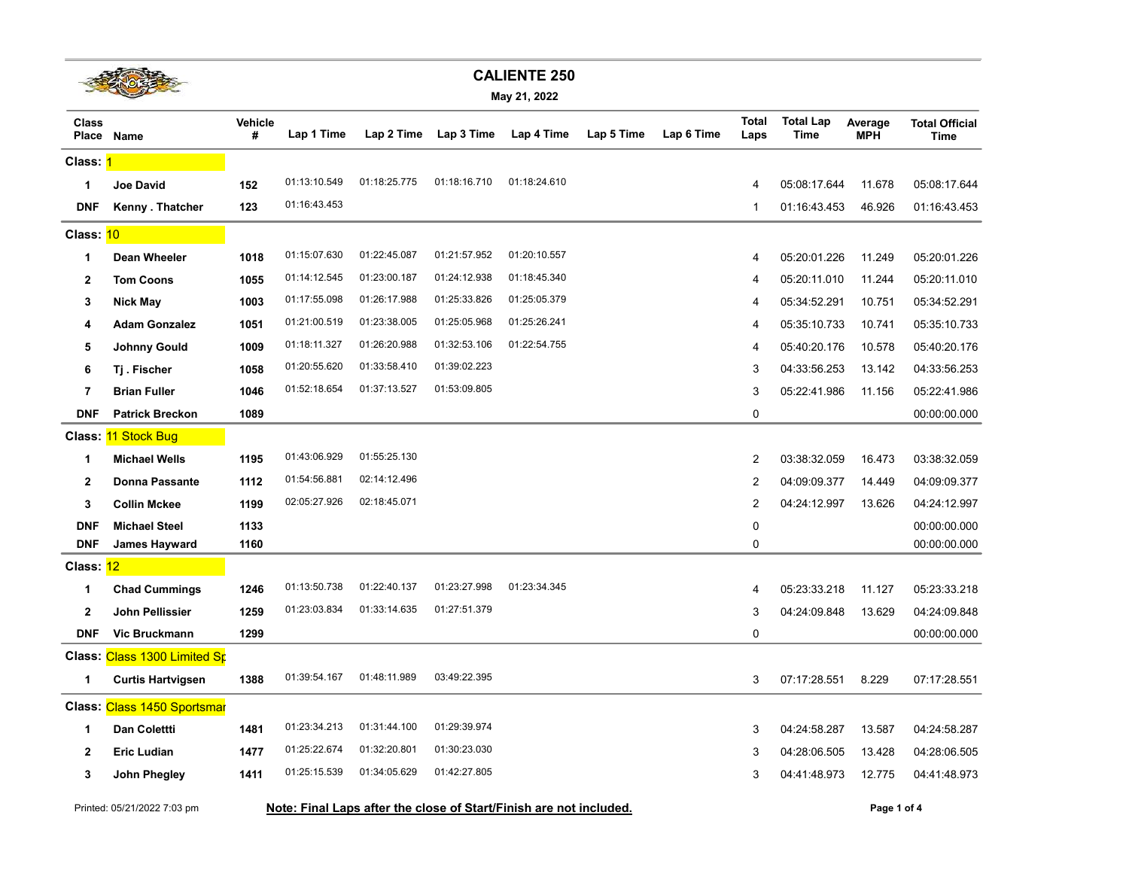|                         |                              |              |              |              |              | <b>CALIENTE 250</b>                                                |            |            |                      |                          |                       |                                      |
|-------------------------|------------------------------|--------------|--------------|--------------|--------------|--------------------------------------------------------------------|------------|------------|----------------------|--------------------------|-----------------------|--------------------------------------|
|                         |                              |              |              |              |              | May 21, 2022                                                       |            |            |                      |                          |                       |                                      |
| <b>Class</b><br>Place   | <b>Name</b>                  | Vehicle<br># | Lap 1 Time   | Lap 2 Time   | Lap 3 Time   | Lap 4 Time                                                         | Lap 5 Time | Lap 6 Time | <b>Total</b><br>Laps | <b>Total Lap</b><br>Time | Average<br><b>MPH</b> | <b>Total Official</b><br><b>Time</b> |
| Class: <mark>1</mark>   |                              |              |              |              |              |                                                                    |            |            |                      |                          |                       |                                      |
| 1                       | <b>Joe David</b>             | 152          | 01:13:10.549 | 01:18:25.775 | 01:18:16.710 | 01:18:24.610                                                       |            |            | 4                    | 05:08:17.644             | 11.678                | 05:08:17.644                         |
| <b>DNF</b>              | Kenny . Thatcher             | 123          | 01:16:43.453 |              |              |                                                                    |            |            | $\mathbf{1}$         | 01:16:43.453             | 46.926                | 01:16:43.453                         |
| Class: 10               |                              |              |              |              |              |                                                                    |            |            |                      |                          |                       |                                      |
| 1                       | Dean Wheeler                 | 1018         | 01:15:07.630 | 01:22:45.087 | 01:21:57.952 | 01:20:10.557                                                       |            |            | $\overline{4}$       | 05:20:01.226             | 11.249                | 05:20:01.226                         |
| $\mathbf{2}$            | <b>Tom Coons</b>             | 1055         | 01:14:12.545 | 01:23:00.187 | 01:24:12.938 | 01:18:45.340                                                       |            |            | 4                    | 05:20:11.010             | 11.244                | 05:20:11.010                         |
| 3                       | <b>Nick May</b>              | 1003         | 01:17:55.098 | 01:26:17.988 | 01:25:33.826 | 01:25:05.379                                                       |            |            | $\overline{4}$       | 05:34:52.291             | 10.751                | 05:34:52.291                         |
| 4                       | <b>Adam Gonzalez</b>         | 1051         | 01:21:00.519 | 01:23:38.005 | 01:25:05.968 | 01:25:26.241                                                       |            |            | 4                    | 05:35:10.733             | 10.741                | 05:35:10.733                         |
| 5                       | <b>Johnny Gould</b>          | 1009         | 01:18:11.327 | 01:26:20.988 | 01:32:53.106 | 01:22:54.755                                                       |            |            | 4                    | 05:40:20.176             | 10.578                | 05:40:20.176                         |
| 6                       | Tj. Fischer                  | 1058         | 01:20:55.620 | 01:33:58.410 | 01:39:02.223 |                                                                    |            |            | 3                    | 04:33:56.253             | 13.142                | 04:33:56.253                         |
| $\overline{\mathbf{r}}$ | <b>Brian Fuller</b>          | 1046         | 01:52:18.654 | 01:37:13.527 | 01:53:09.805 |                                                                    |            |            | 3                    | 05:22:41.986             | 11.156                | 05:22:41.986                         |
| <b>DNF</b>              | <b>Patrick Breckon</b>       | 1089         |              |              |              |                                                                    |            |            | 0                    |                          |                       | 00:00:00.000                         |
|                         | Class: 11 Stock Bug          |              |              |              |              |                                                                    |            |            |                      |                          |                       |                                      |
| 1                       | <b>Michael Wells</b>         | 1195         | 01:43:06.929 | 01:55:25.130 |              |                                                                    |            |            | 2                    | 03:38:32.059             | 16.473                | 03:38:32.059                         |
| $\mathbf{2}$            | <b>Donna Passante</b>        | 1112         | 01:54:56.881 | 02:14:12.496 |              |                                                                    |            |            | 2                    | 04:09:09.377             | 14.449                | 04:09:09.377                         |
| 3                       | <b>Collin Mckee</b>          | 1199         | 02:05:27.926 | 02:18:45.071 |              |                                                                    |            |            | 2                    | 04:24:12.997             | 13.626                | 04:24:12.997                         |
| <b>DNF</b>              | <b>Michael Steel</b>         | 1133         |              |              |              |                                                                    |            |            | 0                    |                          |                       | 00:00:00.000                         |
| <b>DNF</b>              | James Hayward                | 1160         |              |              |              |                                                                    |            |            | 0                    |                          |                       | 00:00:00.000                         |
| Class: 12               |                              |              |              |              |              |                                                                    |            |            |                      |                          |                       |                                      |
| 1                       | <b>Chad Cummings</b>         | 1246         | 01:13:50.738 | 01:22:40.137 | 01:23:27.998 | 01:23:34.345                                                       |            |            | 4                    | 05:23:33.218             | 11.127                | 05:23:33.218                         |
| $\mathbf{2}$            | <b>John Pellissier</b>       | 1259         | 01:23:03.834 | 01:33:14.635 | 01:27:51.379 |                                                                    |            |            | 3                    | 04:24:09.848             | 13.629                | 04:24:09.848                         |
| <b>DNF</b>              | <b>Vic Bruckmann</b>         | 1299         |              |              |              |                                                                    |            |            | 0                    |                          |                       | 00:00:00.000                         |
|                         | Class: Class 1300 Limited Sp |              |              |              |              |                                                                    |            |            |                      |                          |                       |                                      |
| 1                       | <b>Curtis Hartvigsen</b>     | 1388         | 01:39:54.167 | 01:48:11.989 | 03:49:22.395 |                                                                    |            |            | 3                    | 07:17:28.551             | 8.229                 | 07:17:28.551                         |
|                         | Class: Class 1450 Sportsmar  |              |              |              |              |                                                                    |            |            |                      |                          |                       |                                      |
| 1                       | Dan Colettti                 | 1481         | 01:23:34.213 | 01:31:44.100 | 01:29:39.974 |                                                                    |            |            | 3                    | 04:24:58.287             | 13.587                | 04:24:58.287                         |
| 2                       | <b>Eric Ludian</b>           | 1477         | 01:25:22.674 | 01:32:20.801 | 01:30:23.030 |                                                                    |            |            | 3                    | 04:28:06.505             | 13.428                | 04:28:06.505                         |
| 3                       | John Phegley                 | 1411         | 01:25:15.539 | 01:34:05.629 | 01:42:27.805 |                                                                    |            |            | 3                    | 04:41:48.973             | 12.775                | 04:41:48.973                         |
|                         | Printed: 05/21/2022 7:03 pm  |              |              |              |              | Note: Final Laps after the close of Start/Finish are not included. |            |            |                      |                          | Page 1 of 4           |                                      |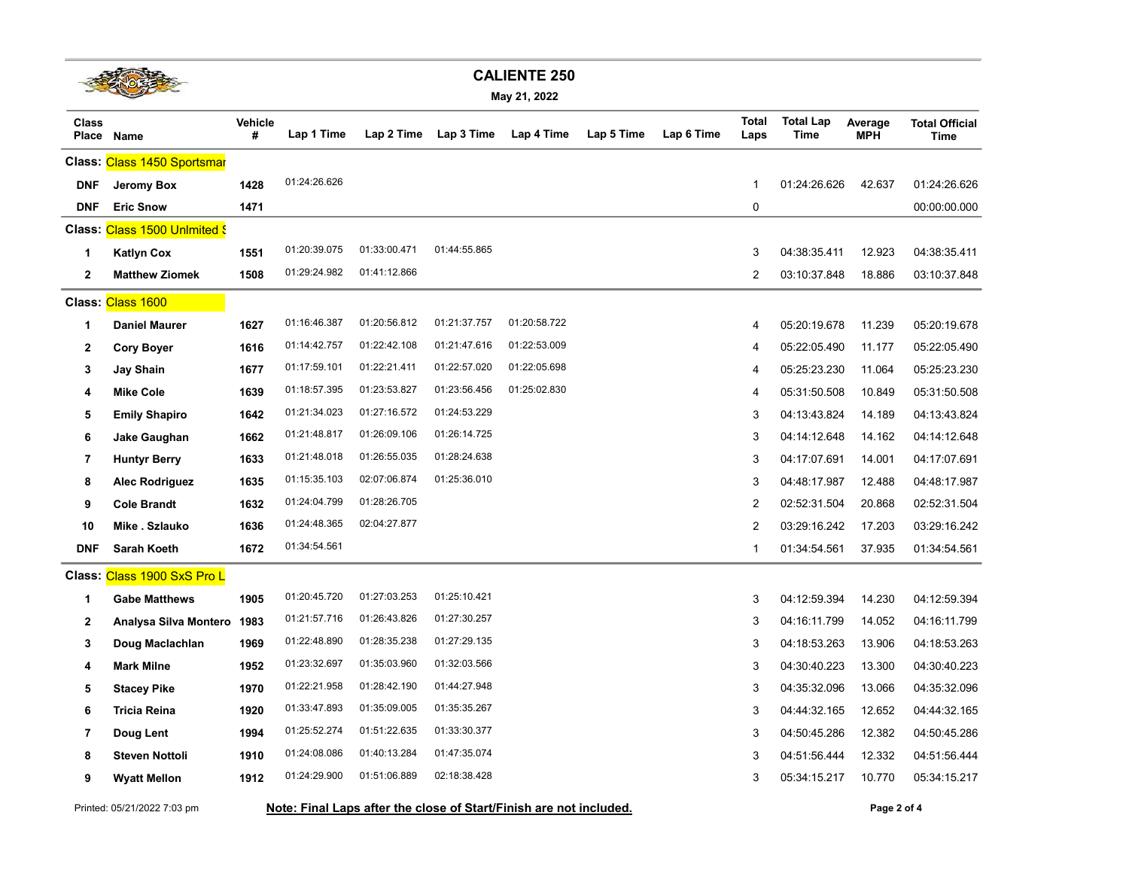

**May 21, 2022**

| Class        | Place Name                    | Vehicle<br># | Lap 1 Time   | Lap 2 Time   | Lap 3 Time   | Lap 4 Time   | Lap 5 Time | Lap 6 Time | <b>Total</b><br>Laps | <b>Total Lap</b><br>Time | Average<br><b>MPH</b> | <b>Total Official</b><br><b>Time</b> |
|--------------|-------------------------------|--------------|--------------|--------------|--------------|--------------|------------|------------|----------------------|--------------------------|-----------------------|--------------------------------------|
|              | Class: Class 1450 Sportsmar   |              |              |              |              |              |            |            |                      |                          |                       |                                      |
| <b>DNF</b>   | Jeromy Box                    | 1428         | 01:24:26.626 |              |              |              |            |            | $\mathbf{1}$         | 01:24:26.626             | 42.637                | 01:24:26.626                         |
| <b>DNF</b>   | <b>Eric Snow</b>              | 1471         |              |              |              |              |            |            | 0                    |                          |                       | 00:00:00.000                         |
|              | Class: Class 1500 Unlmited \$ |              |              |              |              |              |            |            |                      |                          |                       |                                      |
| 1            | <b>Katlyn Cox</b>             | 1551         | 01:20:39.075 | 01:33:00.471 | 01:44:55.865 |              |            |            | 3                    | 04:38:35.411             | 12.923                | 04:38:35.411                         |
| $\mathbf{2}$ | <b>Matthew Ziomek</b>         | 1508         | 01:29:24.982 | 01:41:12.866 |              |              |            |            | 2                    | 03:10:37.848             | 18.886                | 03:10:37.848                         |
|              | Class: Class 1600             |              |              |              |              |              |            |            |                      |                          |                       |                                      |
| 1            | <b>Daniel Maurer</b>          | 1627         | 01:16:46.387 | 01:20:56.812 | 01:21:37.757 | 01:20:58.722 |            |            | 4                    | 05:20:19.678             | 11.239                | 05:20:19.678                         |
| $\mathbf{2}$ | <b>Cory Boyer</b>             | 1616         | 01:14:42.757 | 01:22:42.108 | 01:21:47.616 | 01:22:53.009 |            |            | 4                    | 05:22:05.490             | 11.177                | 05:22:05.490                         |
| 3            | Jay Shain                     | 1677         | 01:17:59.101 | 01:22:21.411 | 01:22:57.020 | 01:22:05.698 |            |            | 4                    | 05:25:23.230             | 11.064                | 05:25:23.230                         |
| 4            | <b>Mike Cole</b>              | 1639         | 01:18:57.395 | 01:23:53.827 | 01:23:56.456 | 01:25:02.830 |            |            | 4                    | 05:31:50.508             | 10.849                | 05:31:50.508                         |
| 5            | <b>Emily Shapiro</b>          | 1642         | 01:21:34.023 | 01:27:16.572 | 01:24:53.229 |              |            |            | 3                    | 04:13:43.824             | 14.189                | 04:13:43.824                         |
| 6            | Jake Gaughan                  | 1662         | 01:21:48.817 | 01:26:09.106 | 01:26:14.725 |              |            |            | 3                    | 04:14:12.648             | 14.162                | 04:14:12.648                         |
| 7            | <b>Huntyr Berry</b>           | 1633         | 01:21:48.018 | 01:26:55.035 | 01:28:24.638 |              |            |            | 3                    | 04:17:07.691             | 14.001                | 04:17:07.691                         |
| 8            | <b>Alec Rodriguez</b>         | 1635         | 01:15:35.103 | 02:07:06.874 | 01:25:36.010 |              |            |            | 3                    | 04:48:17.987             | 12.488                | 04:48:17.987                         |
| 9            | <b>Cole Brandt</b>            | 1632         | 01:24:04.799 | 01:28:26.705 |              |              |            |            | $\overline{2}$       | 02:52:31.504             | 20.868                | 02:52:31.504                         |
| 10           | Mike . Szlauko                | 1636         | 01:24:48.365 | 02:04:27.877 |              |              |            |            | $\overline{2}$       | 03:29:16.242             | 17.203                | 03:29:16.242                         |
| <b>DNF</b>   | Sarah Koeth                   | 1672         | 01:34:54.561 |              |              |              |            |            | $\mathbf{1}$         | 01:34:54.561             | 37.935                | 01:34:54.561                         |
|              | Class: Class 1900 SxS Pro L   |              |              |              |              |              |            |            |                      |                          |                       |                                      |
| 1            | <b>Gabe Matthews</b>          | 1905         | 01:20:45.720 | 01:27:03.253 | 01:25:10.421 |              |            |            | 3                    | 04:12:59.394             | 14.230                | 04:12:59.394                         |
| $\mathbf{2}$ | Analysa Silva Montero         | 1983         | 01:21:57.716 | 01:26:43.826 | 01:27:30.257 |              |            |            | 3                    | 04:16:11.799             | 14.052                | 04:16:11.799                         |
| 3            | Doug Maclachlan               | 1969         | 01:22:48.890 | 01:28:35.238 | 01:27:29.135 |              |            |            | 3                    | 04:18:53.263             | 13.906                | 04:18:53.263                         |
| 4            | <b>Mark Milne</b>             | 1952         | 01:23:32.697 | 01:35:03.960 | 01:32:03.566 |              |            |            | 3                    | 04:30:40.223             | 13.300                | 04:30:40.223                         |
| 5            | <b>Stacey Pike</b>            | 1970         | 01:22:21.958 | 01:28:42.190 | 01:44:27.948 |              |            |            | 3                    | 04:35:32.096             | 13.066                | 04:35:32.096                         |
| 6            | Tricia Reina                  | 1920         | 01:33:47.893 | 01:35:09.005 | 01:35:35.267 |              |            |            | 3                    | 04:44:32.165             | 12.652                | 04:44:32.165                         |
| 7            | Doug Lent                     | 1994         | 01:25:52.274 | 01:51:22.635 | 01:33:30.377 |              |            |            | 3                    | 04:50:45.286             | 12.382                | 04:50:45.286                         |
| 8            | <b>Steven Nottoli</b>         | 1910         | 01:24:08.086 | 01:40:13.284 | 01:47:35.074 |              |            |            | 3                    | 04:51:56.444             | 12.332                | 04:51:56.444                         |
| 9            | <b>Wyatt Mellon</b>           | 1912         | 01:24:29.900 | 01:51:06.889 | 02:18:38.428 |              |            |            | 3                    | 05:34:15.217             | 10.770                | 05:34:15.217                         |
|              |                               |              |              |              |              |              |            |            |                      |                          |                       |                                      |

Printed: 05/21/2022 7:03 pm **Note: Final Laps after the close of Start/Finish are not included. Page 2 of 4**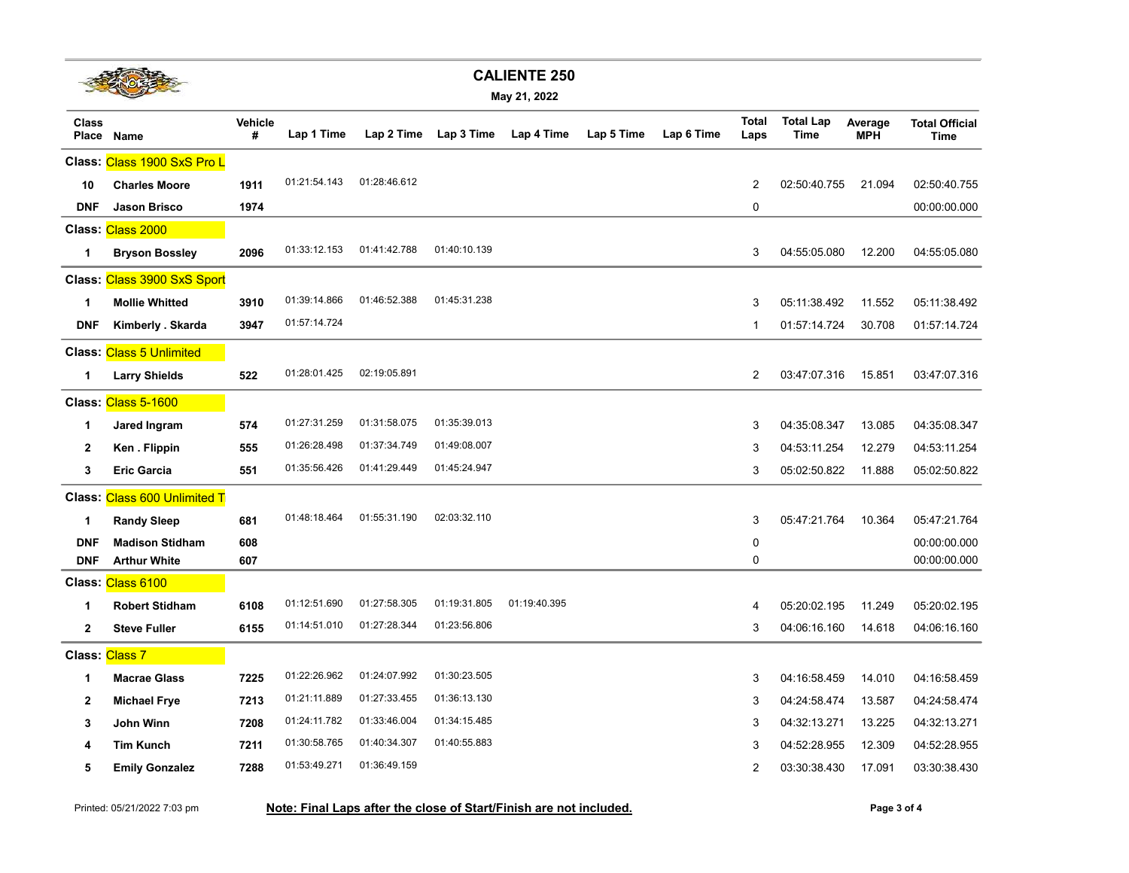

|  |  | May 21, 2022 |
|--|--|--------------|
|--|--|--------------|

| <b>Class</b><br>Place | Name                            | Vehicle<br># | Lap 1 Time   | Lap 2 Time   | Lap 3 Time   | Lap 4 Time   | Lap 5 Time | Lap 6 Time | <b>Total</b><br>Laps | <b>Total Lap</b><br>Time | Average<br><b>MPH</b> | <b>Total Official</b><br><b>Time</b> |
|-----------------------|---------------------------------|--------------|--------------|--------------|--------------|--------------|------------|------------|----------------------|--------------------------|-----------------------|--------------------------------------|
|                       | Class: Class 1900 SxS Pro L     |              |              |              |              |              |            |            |                      |                          |                       |                                      |
| 10                    | <b>Charles Moore</b>            | 1911         | 01:21:54.143 | 01:28:46.612 |              |              |            |            | 2                    | 02:50:40.755             | 21.094                | 02:50:40.755                         |
| <b>DNF</b>            | <b>Jason Brisco</b>             | 1974         |              |              |              |              |            |            | $\mathbf 0$          |                          |                       | 00:00:00.000                         |
|                       | Class: Class 2000               |              |              |              |              |              |            |            |                      |                          |                       |                                      |
| 1                     | <b>Bryson Bossley</b>           | 2096         | 01:33:12.153 | 01:41:42.788 | 01:40:10.139 |              |            |            | 3                    | 04:55:05.080             | 12.200                | 04:55:05.080                         |
|                       | Class: Class 3900 SxS Sport     |              |              |              |              |              |            |            |                      |                          |                       |                                      |
| 1                     | <b>Mollie Whitted</b>           | 3910         | 01:39:14.866 | 01:46:52.388 | 01:45:31.238 |              |            |            | 3                    | 05:11:38.492             | 11.552                | 05:11:38.492                         |
| DNF                   | Kimberly . Skarda               | 3947         | 01:57:14.724 |              |              |              |            |            | $\mathbf{1}$         | 01:57:14.724             | 30.708                | 01:57:14.724                         |
|                       | <b>Class: Class 5 Unlimited</b> |              |              |              |              |              |            |            |                      |                          |                       |                                      |
| 1                     | Larry Shields                   | 522          | 01:28:01.425 | 02:19:05.891 |              |              |            |            | 2                    | 03:47:07.316             | 15.851                | 03:47:07.316                         |
|                       | Class: Class 5-1600             |              |              |              |              |              |            |            |                      |                          |                       |                                      |
| $\mathbf 1$           | Jared Ingram                    | 574          | 01:27:31.259 | 01:31:58.075 | 01:35:39.013 |              |            |            | 3                    | 04:35:08.347             | 13.085                | 04:35:08.347                         |
| $\mathbf{2}$          | Ken. Flippin                    | 555          | 01:26:28.498 | 01:37:34.749 | 01:49:08.007 |              |            |            | 3                    | 04:53:11.254             | 12.279                | 04:53:11.254                         |
| 3                     | <b>Eric Garcia</b>              | 551          | 01:35:56.426 | 01:41:29.449 | 01:45:24.947 |              |            |            | 3                    | 05:02:50.822             | 11.888                | 05:02:50.822                         |
|                       | Class: Class 600 Unlimited T    |              |              |              |              |              |            |            |                      |                          |                       |                                      |
| 1                     | <b>Randy Sleep</b>              | 681          | 01:48:18.464 | 01:55:31.190 | 02:03:32.110 |              |            |            | 3                    | 05:47:21.764             | 10.364                | 05:47:21.764                         |
| <b>DNF</b>            | <b>Madison Stidham</b>          | 608          |              |              |              |              |            |            | 0                    |                          |                       | 00:00:00.000                         |
| DNF                   | <b>Arthur White</b>             | 607          |              |              |              |              |            |            | 0                    |                          |                       | 00:00:00.000                         |
|                       | Class: Class 6100               |              |              |              |              |              |            |            |                      |                          |                       |                                      |
| 1                     | <b>Robert Stidham</b>           | 6108         | 01:12:51.690 | 01:27:58.305 | 01:19:31.805 | 01:19:40.395 |            |            | 4                    | 05:20:02.195             | 11.249                | 05:20:02.195                         |
| $\mathbf{2}$          | Steve Fuller                    | 6155         | 01:14:51.010 | 01:27:28.344 | 01:23:56.806 |              |            |            | 3                    | 04:06:16.160             | 14.618                | 04:06:16.160                         |
| Class: Class 7        |                                 |              |              |              |              |              |            |            |                      |                          |                       |                                      |
| 1                     | <b>Macrae Glass</b>             | 7225         | 01:22:26.962 | 01:24:07.992 | 01:30:23.505 |              |            |            | 3                    | 04:16:58.459             | 14.010                | 04:16:58.459                         |
| $\mathbf{2}$          | <b>Michael Frye</b>             | 7213         | 01:21:11.889 | 01:27:33.455 | 01:36:13.130 |              |            |            | 3                    | 04:24:58.474             | 13.587                | 04:24:58.474                         |
| 3                     | John Winn                       | 7208         | 01:24:11.782 | 01:33:46.004 | 01:34:15.485 |              |            |            | 3                    | 04:32:13.271             | 13.225                | 04:32:13.271                         |
| 4                     | Tim Kunch                       | 7211         | 01:30:58.765 | 01:40:34.307 | 01:40:55.883 |              |            |            | 3                    | 04:52:28.955             | 12.309                | 04:52:28.955                         |
| 5                     | <b>Emily Gonzalez</b>           | 7288         | 01:53:49.271 | 01:36:49.159 |              |              |            |            | 2                    | 03:30:38.430             | 17.091                | 03:30:38.430                         |
|                       |                                 |              |              |              |              |              |            |            |                      |                          |                       |                                      |

Printed: 05/21/2022 7:03 pm **Note: Final Laps after the close of Start/Finish are not included. Page 3 of 4**